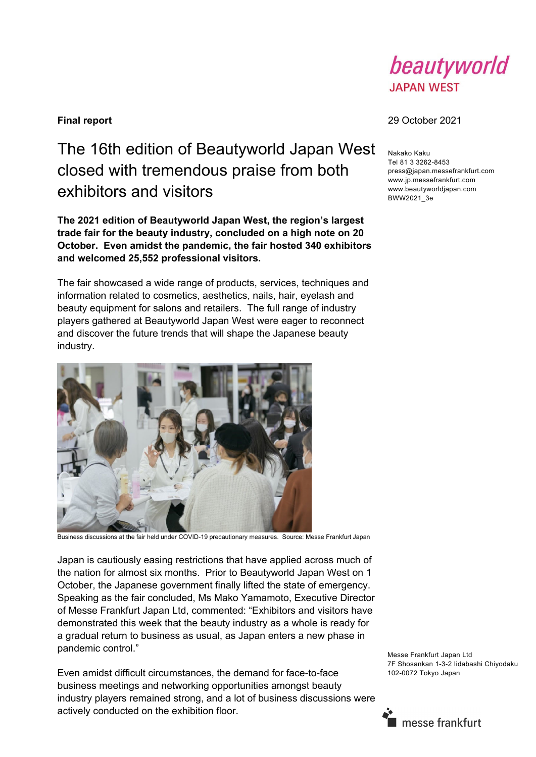

## The 16th edition of Beautyworld Japan West closed with tremendous praise from both exhibitors and visitors

**The 2021 edition of Beautyworld Japan West, the region's largest trade fair for the beauty industry, concluded on a high note on 20 October. Even amidst the pandemic, the fair hosted 340 exhibitors and welcomed 25,552 professional visitors.** 

The fair showcased a wide range of products, services, techniques and information related to cosmetics, aesthetics, nails, hair, eyelash and beauty equipment for salons and retailers. The full range of industry players gathered at Beautyworld Japan West were eager to reconnect and discover the future trends that will shape the Japanese beauty industry.



Business discussions at the fair held under COVID-19 precautionary measures. Source: Messe Frankfurt Japan

Japan is cautiously easing restrictions that have applied across much of the nation for almost six months. Prior to Beautyworld Japan West on 1 October, the Japanese government finally lifted the state of emergency. Speaking as the fair concluded, Ms Mako Yamamoto, Executive Director of Messe Frankfurt Japan Ltd, commented: "Exhibitors and visitors have demonstrated this week that the beauty industry as a whole is ready for a gradual return to business as usual, as Japan enters a new phase in pandemic control."

Even amidst difficult circumstances, the demand for face-to-face business meetings and networking opportunities amongst beauty industry players remained strong, and a lot of business discussions were actively conducted on the exhibition floor.

**Final report** 29 October 2021

Nakako Kaku Tel 81 3 3262-8453 press@japan.messefrankfurt.com www.jp.messefrankfurt.com www.beautyworldjapan.com BWW2021\_3e

Messe Frankfurt Japan Ltd 7F Shosankan 1-3-2 Iidabashi Chiyodaku 102-0072 Tokyo Japan